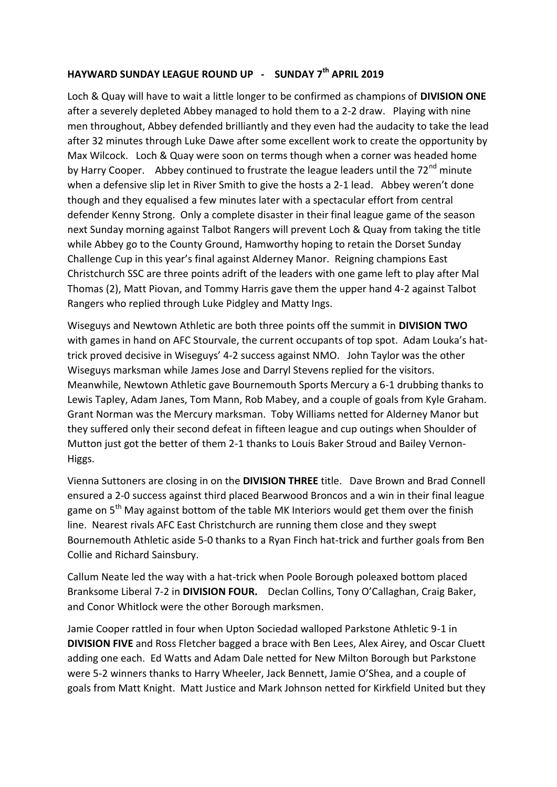## **HAYWARD SUNDAY LEAGUE ROUND UP - SUNDAY 7th APRIL 2019**

Loch & Quay will have to wait a little longer to be confirmed as champions of **DIVISION ONE**  after a severely depleted Abbey managed to hold them to a 2-2 draw. Playing with nine men throughout, Abbey defended brilliantly and they even had the audacity to take the lead after 32 minutes through Luke Dawe after some excellent work to create the opportunity by Max Wilcock. Loch & Quay were soon on terms though when a corner was headed home by Harry Cooper. Abbey continued to frustrate the league leaders until the 72<sup>nd</sup> minute when a defensive slip let in River Smith to give the hosts a 2-1 lead. Abbey weren't done though and they equalised a few minutes later with a spectacular effort from central defender Kenny Strong. Only a complete disaster in their final league game of the season next Sunday morning against Talbot Rangers will prevent Loch & Quay from taking the title while Abbey go to the County Ground, Hamworthy hoping to retain the Dorset Sunday Challenge Cup in this year's final against Alderney Manor. Reigning champions East Christchurch SSC are three points adrift of the leaders with one game left to play after Mal Thomas (2), Matt Piovan, and Tommy Harris gave them the upper hand 4-2 against Talbot Rangers who replied through Luke Pidgley and Matty Ings.

Wiseguys and Newtown Athletic are both three points off the summit in **DIVISION TWO** with games in hand on AFC Stourvale, the current occupants of top spot. Adam Louka's hattrick proved decisive in Wiseguys' 4-2 success against NMO. John Taylor was the other Wiseguys marksman while James Jose and Darryl Stevens replied for the visitors. Meanwhile, Newtown Athletic gave Bournemouth Sports Mercury a 6-1 drubbing thanks to Lewis Tapley, Adam Janes, Tom Mann, Rob Mabey, and a couple of goals from Kyle Graham. Grant Norman was the Mercury marksman. Toby Williams netted for Alderney Manor but they suffered only their second defeat in fifteen league and cup outings when Shoulder of Mutton just got the better of them 2-1 thanks to Louis Baker Stroud and Bailey Vernon-Higgs.

Vienna Suttoners are closing in on the **DIVISION THREE** title. Dave Brown and Brad Connell ensured a 2-0 success against third placed Bearwood Broncos and a win in their final league game on 5<sup>th</sup> May against bottom of the table MK Interiors would get them over the finish line. Nearest rivals AFC East Christchurch are running them close and they swept Bournemouth Athletic aside 5-0 thanks to a Ryan Finch hat-trick and further goals from Ben Collie and Richard Sainsbury.

Callum Neate led the way with a hat-trick when Poole Borough poleaxed bottom placed Branksome Liberal 7-2 in **DIVISION FOUR.** Declan Collins, Tony O'Callaghan, Craig Baker, and Conor Whitlock were the other Borough marksmen.

Jamie Cooper rattled in four when Upton Sociedad walloped Parkstone Athletic 9-1 in **DIVISION FIVE** and Ross Fletcher bagged a brace with Ben Lees, Alex Airey, and Oscar Cluett adding one each. Ed Watts and Adam Dale netted for New Milton Borough but Parkstone were 5-2 winners thanks to Harry Wheeler, Jack Bennett, Jamie O'Shea, and a couple of goals from Matt Knight. Matt Justice and Mark Johnson netted for Kirkfield United but they